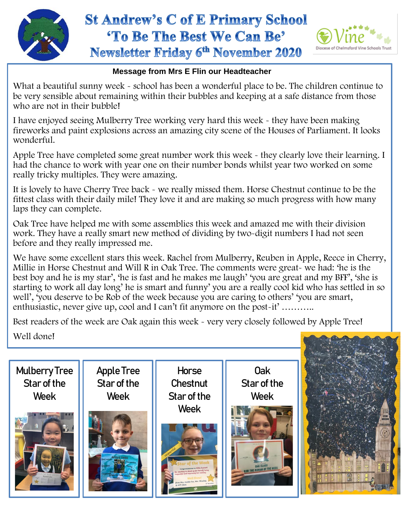

## **St Andrew's C of E Primary School** 'To Be The Best We Can Be' **Newsletter Friday 6th November 2020**



## **Message from Mrs E Flin our Headteacher**

What a beautiful sunny week - school has been a wonderful place to be. The children continue to be very sensible about remaining within their bubbles and keeping at a safe distance from those who are not in their bubble!

I have enjoyed seeing Mulberry Tree working very hard this week - they have been making fireworks and paint explosions across an amazing city scene of the Houses of Parliament. It looks wonderful.

Apple Tree have completed some great number work this week - they clearly love their learning. I had the chance to work with year one on their number bonds whilst year two worked on some really tricky multiples. They were amazing.

It is lovely to have Cherry Tree back - we really missed them. Horse Chestnut continue to be the fittest class with their daily mile! They love it and are making so much progress with how many laps they can complete.

 before and they really impressed me. Oak Tree have helped me with some assemblies this week and amazed me with their division work. They have a really smart new method of dividing by two-digit numbers I had not seen

We have some excellent stars this week. Rachel from Mulberry, Reuben in Apple, Reece in Cherry, Millie in Horse Chestnut and Will R in Oak Tree. The comments were great- we had: 'he is the best boy and he is my star', 'he is fast and he makes me laugh' 'you are great and my BFF', 'she is starting to work all day long' he is smart and funny' you are a really cool kid who has settled in so well', 'you deserve to be Rob of the week because you are caring to others' 'you are smart, enthusiastic, never give up, cool and I can't fit anymore on the post-it' ………..

Best readers of the week are Oak again this week - very very closely followed by Apple Tree! Well done!